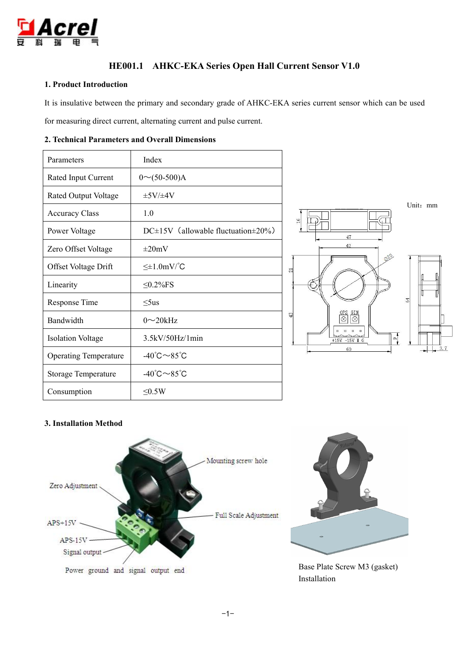

# **HE001.1 AHKC-EKA Series Open Hall Current Sensor V1.0**

## **1. Product Introduction**

It is insulative between the primary and secondary grade of AHKC-EKA series current sensor which can be used

for measuring direct current, alternating current and pulse current.

## **2. Technical Parameters and Overall Dimensions**

| Parameters                   | Index                                            |                                                                                                                                                  |
|------------------------------|--------------------------------------------------|--------------------------------------------------------------------------------------------------------------------------------------------------|
| Rated Input Current          | $0 \sim (50-500)$ A                              |                                                                                                                                                  |
| Rated Output Voltage         | $\pm$ 5V/ $\pm$ 4V                               |                                                                                                                                                  |
| <b>Accuracy Class</b>        | 1.0                                              | Unit: mr<br>$\frac{6}{16}$                                                                                                                       |
| Power Voltage                | $DC \pm 15V$ (allowable fluctuation $\pm 20\%$ ) | 47                                                                                                                                               |
| Zero Offset Voltage          | $\pm 20$ mV                                      | 42                                                                                                                                               |
| Offset Voltage Drift         | $\leq \pm 1.0$ mV/°C                             | 020<br>의                                                                                                                                         |
| Linearity                    | $\leq$ 0.2%FS                                    |                                                                                                                                                  |
| Response Time                | $\leq$ 5us                                       | 64                                                                                                                                               |
| Bandwidth                    | $0 \sim 20$ kHz                                  | OFS<br>GIN<br>43<br>$\overline{\otimes}$<br> ⊗                                                                                                   |
| <b>Isolation Voltage</b>     | $3.5$ kV/50Hz/1min                               | $\begin{array}{ccccccccccccccccc} \bullet & \bullet & \bullet & \bullet & \bullet & \bullet & \bullet \end{array}$<br>$\circ$<br>$+15V$ -15V M G |
| <b>Operating Temperature</b> | -40 $\degree$ C $\sim$ 85 $\degree$ C            | 60                                                                                                                                               |
| <b>Storage Temperature</b>   | -40 $\degree$ C $\sim$ 85 $\degree$ C            |                                                                                                                                                  |
| Consumption                  | $\leq 0.5W$                                      |                                                                                                                                                  |



## **3. Installation Method**



Power ground and signal output end

Base Plate Screw M3 (gasket) Installation